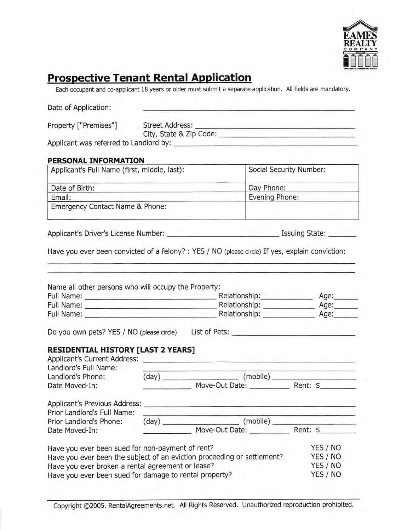

# **Prospective Tenant Rental Application**

Each occupant and co-applicant 18 years or older must submit a separate application. All fields are mandatory

| PERSONAL INFORMATION<br>Applicant's Full Name (first, middle, last):<br>Social Security Number:<br>Date of Birth:<br>Day Phone:<br>the control of the control of the control of the control of the control of the control of the control of the control of the control of the control of the control of the control of the control of the control of the control<br>Evening Phone:<br>Email:<br>and the control of the control of the<br>Emergency Contact Name & Phone:<br>Have you ever been convicted of a felony? : YES / NO (please circle) If yes, explain conviction:<br>Name all other persons who will occupy the Property:<br>Do you own pets? YES / NO (please circle) List of Pets: ________________________<br><b>RESIDENTIAL HISTORY [LAST 2 YEARS]</b><br>Applicant's Current Address:<br>Landlord's Full Name:<br>the company's company's company's<br>Landlord's Phone:<br>Date Moved-In:<br>Prior Landlord's Full Name:<br>(mobile)<br>$(\text{day})$<br>Move-Out Date:<br>Rent: \$<br>YES / NO<br>Have you ever been sued for non-payment of rent?<br>YES / NO<br>Have you ever been the subject of an eviction proceeding or settlement?<br>YES / NO<br>Have you ever broken a rental agreement or lease?<br>YES / NO<br>Have you ever been sued for damage to rental property? | Date of Application:    |  |  |  |  |  |
|-----------------------------------------------------------------------------------------------------------------------------------------------------------------------------------------------------------------------------------------------------------------------------------------------------------------------------------------------------------------------------------------------------------------------------------------------------------------------------------------------------------------------------------------------------------------------------------------------------------------------------------------------------------------------------------------------------------------------------------------------------------------------------------------------------------------------------------------------------------------------------------------------------------------------------------------------------------------------------------------------------------------------------------------------------------------------------------------------------------------------------------------------------------------------------------------------------------------------------------------------------------------------------------------------------|-------------------------|--|--|--|--|--|
|                                                                                                                                                                                                                                                                                                                                                                                                                                                                                                                                                                                                                                                                                                                                                                                                                                                                                                                                                                                                                                                                                                                                                                                                                                                                                                     |                         |  |  |  |  |  |
|                                                                                                                                                                                                                                                                                                                                                                                                                                                                                                                                                                                                                                                                                                                                                                                                                                                                                                                                                                                                                                                                                                                                                                                                                                                                                                     |                         |  |  |  |  |  |
|                                                                                                                                                                                                                                                                                                                                                                                                                                                                                                                                                                                                                                                                                                                                                                                                                                                                                                                                                                                                                                                                                                                                                                                                                                                                                                     |                         |  |  |  |  |  |
|                                                                                                                                                                                                                                                                                                                                                                                                                                                                                                                                                                                                                                                                                                                                                                                                                                                                                                                                                                                                                                                                                                                                                                                                                                                                                                     |                         |  |  |  |  |  |
|                                                                                                                                                                                                                                                                                                                                                                                                                                                                                                                                                                                                                                                                                                                                                                                                                                                                                                                                                                                                                                                                                                                                                                                                                                                                                                     |                         |  |  |  |  |  |
|                                                                                                                                                                                                                                                                                                                                                                                                                                                                                                                                                                                                                                                                                                                                                                                                                                                                                                                                                                                                                                                                                                                                                                                                                                                                                                     |                         |  |  |  |  |  |
|                                                                                                                                                                                                                                                                                                                                                                                                                                                                                                                                                                                                                                                                                                                                                                                                                                                                                                                                                                                                                                                                                                                                                                                                                                                                                                     |                         |  |  |  |  |  |
|                                                                                                                                                                                                                                                                                                                                                                                                                                                                                                                                                                                                                                                                                                                                                                                                                                                                                                                                                                                                                                                                                                                                                                                                                                                                                                     |                         |  |  |  |  |  |
|                                                                                                                                                                                                                                                                                                                                                                                                                                                                                                                                                                                                                                                                                                                                                                                                                                                                                                                                                                                                                                                                                                                                                                                                                                                                                                     |                         |  |  |  |  |  |
|                                                                                                                                                                                                                                                                                                                                                                                                                                                                                                                                                                                                                                                                                                                                                                                                                                                                                                                                                                                                                                                                                                                                                                                                                                                                                                     |                         |  |  |  |  |  |
|                                                                                                                                                                                                                                                                                                                                                                                                                                                                                                                                                                                                                                                                                                                                                                                                                                                                                                                                                                                                                                                                                                                                                                                                                                                                                                     |                         |  |  |  |  |  |
|                                                                                                                                                                                                                                                                                                                                                                                                                                                                                                                                                                                                                                                                                                                                                                                                                                                                                                                                                                                                                                                                                                                                                                                                                                                                                                     |                         |  |  |  |  |  |
|                                                                                                                                                                                                                                                                                                                                                                                                                                                                                                                                                                                                                                                                                                                                                                                                                                                                                                                                                                                                                                                                                                                                                                                                                                                                                                     |                         |  |  |  |  |  |
|                                                                                                                                                                                                                                                                                                                                                                                                                                                                                                                                                                                                                                                                                                                                                                                                                                                                                                                                                                                                                                                                                                                                                                                                                                                                                                     |                         |  |  |  |  |  |
|                                                                                                                                                                                                                                                                                                                                                                                                                                                                                                                                                                                                                                                                                                                                                                                                                                                                                                                                                                                                                                                                                                                                                                                                                                                                                                     |                         |  |  |  |  |  |
|                                                                                                                                                                                                                                                                                                                                                                                                                                                                                                                                                                                                                                                                                                                                                                                                                                                                                                                                                                                                                                                                                                                                                                                                                                                                                                     |                         |  |  |  |  |  |
|                                                                                                                                                                                                                                                                                                                                                                                                                                                                                                                                                                                                                                                                                                                                                                                                                                                                                                                                                                                                                                                                                                                                                                                                                                                                                                     |                         |  |  |  |  |  |
|                                                                                                                                                                                                                                                                                                                                                                                                                                                                                                                                                                                                                                                                                                                                                                                                                                                                                                                                                                                                                                                                                                                                                                                                                                                                                                     |                         |  |  |  |  |  |
|                                                                                                                                                                                                                                                                                                                                                                                                                                                                                                                                                                                                                                                                                                                                                                                                                                                                                                                                                                                                                                                                                                                                                                                                                                                                                                     |                         |  |  |  |  |  |
|                                                                                                                                                                                                                                                                                                                                                                                                                                                                                                                                                                                                                                                                                                                                                                                                                                                                                                                                                                                                                                                                                                                                                                                                                                                                                                     |                         |  |  |  |  |  |
|                                                                                                                                                                                                                                                                                                                                                                                                                                                                                                                                                                                                                                                                                                                                                                                                                                                                                                                                                                                                                                                                                                                                                                                                                                                                                                     |                         |  |  |  |  |  |
|                                                                                                                                                                                                                                                                                                                                                                                                                                                                                                                                                                                                                                                                                                                                                                                                                                                                                                                                                                                                                                                                                                                                                                                                                                                                                                     |                         |  |  |  |  |  |
|                                                                                                                                                                                                                                                                                                                                                                                                                                                                                                                                                                                                                                                                                                                                                                                                                                                                                                                                                                                                                                                                                                                                                                                                                                                                                                     |                         |  |  |  |  |  |
|                                                                                                                                                                                                                                                                                                                                                                                                                                                                                                                                                                                                                                                                                                                                                                                                                                                                                                                                                                                                                                                                                                                                                                                                                                                                                                     |                         |  |  |  |  |  |
|                                                                                                                                                                                                                                                                                                                                                                                                                                                                                                                                                                                                                                                                                                                                                                                                                                                                                                                                                                                                                                                                                                                                                                                                                                                                                                     | Prior Landlord's Phone: |  |  |  |  |  |
|                                                                                                                                                                                                                                                                                                                                                                                                                                                                                                                                                                                                                                                                                                                                                                                                                                                                                                                                                                                                                                                                                                                                                                                                                                                                                                     | Date Moved-In:          |  |  |  |  |  |
|                                                                                                                                                                                                                                                                                                                                                                                                                                                                                                                                                                                                                                                                                                                                                                                                                                                                                                                                                                                                                                                                                                                                                                                                                                                                                                     |                         |  |  |  |  |  |
|                                                                                                                                                                                                                                                                                                                                                                                                                                                                                                                                                                                                                                                                                                                                                                                                                                                                                                                                                                                                                                                                                                                                                                                                                                                                                                     |                         |  |  |  |  |  |
|                                                                                                                                                                                                                                                                                                                                                                                                                                                                                                                                                                                                                                                                                                                                                                                                                                                                                                                                                                                                                                                                                                                                                                                                                                                                                                     |                         |  |  |  |  |  |
|                                                                                                                                                                                                                                                                                                                                                                                                                                                                                                                                                                                                                                                                                                                                                                                                                                                                                                                                                                                                                                                                                                                                                                                                                                                                                                     |                         |  |  |  |  |  |